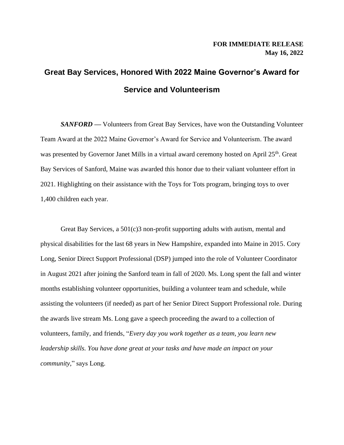## **Great Bay Services, Honored With 2022 Maine Governor's Award for Service and Volunteerism**

*SANFORD* — Volunteers from Great Bay Services, have won the Outstanding Volunteer Team Award at the 2022 Maine Governor's Award for Service and Volunteerism. The award was presented by Governor Janet Mills in a virtual award ceremony hosted on April 25<sup>th</sup>. Great Bay Services of Sanford, Maine was awarded this honor due to their valiant volunteer effort in 2021. Highlighting on their assistance with the Toys for Tots program, bringing toys to over 1,400 children each year.

Great Bay Services, a 501(c)3 non-profit supporting adults with autism, mental and physical disabilities for the last 68 years in New Hampshire, expanded into Maine in 2015. Cory Long, Senior Direct Support Professional (DSP) jumped into the role of Volunteer Coordinator in August 2021 after joining the Sanford team in fall of 2020. Ms. Long spent the fall and winter months establishing volunteer opportunities, building a volunteer team and schedule, while assisting the volunteers (if needed) as part of her Senior Direct Support Professional role. During the awards live stream Ms. Long gave a speech proceeding the award to a collection of volunteers, family, and friends, "*Every day you work together as a team, you learn new leadership skills. You have done great at your tasks and have made an impact on your community,*" says Long.